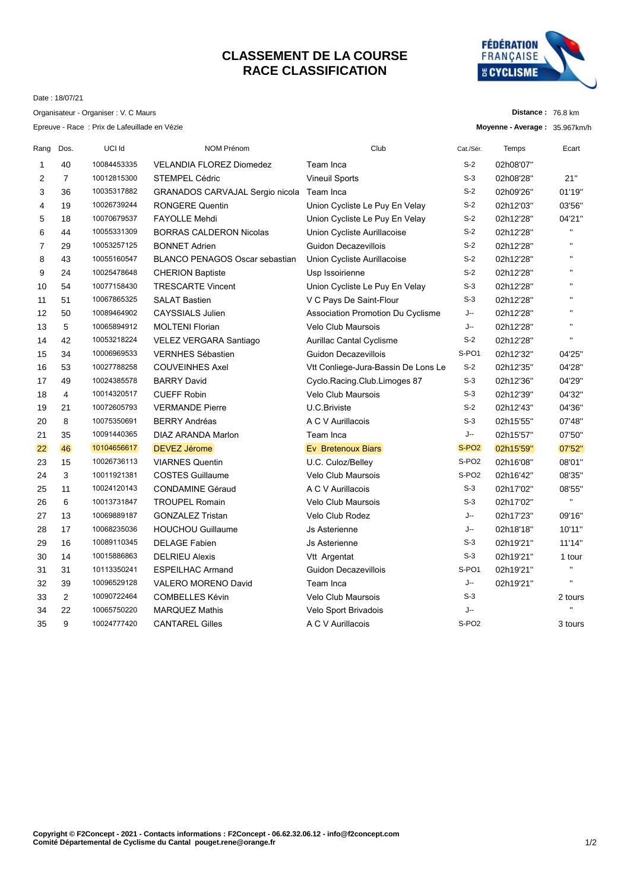## **CLASSEMENT DE LA COURSE RACE CLASSIFICATION**



Date : 18/07/21

|                |                | Organisateur - Organiser : V. C Maurs         |                                        |                                     |                   | Distance: 76.8 km             |                |
|----------------|----------------|-----------------------------------------------|----------------------------------------|-------------------------------------|-------------------|-------------------------------|----------------|
|                |                | Epreuve - Race : Prix de Lafeuillade en Vézie |                                        |                                     |                   | Moyenne - Average: 35.967km/h |                |
| Rang           | Dos.           | UCI Id                                        | <b>NOM Prénom</b>                      | Club                                | Cat./Sér.         | Temps                         | Ecart          |
| 1              | 40             | 10084453335                                   | <b>VELANDIA FLOREZ Diomedez</b>        | Team Inca                           | $S-2$             | 02h08'07"                     |                |
| 2              | $\overline{7}$ | 10012815300                                   | <b>STEMPEL Cédric</b>                  | <b>Vineuil Sports</b>               | $S-3$             | 02h08'28"                     | 21"            |
| 3              | 36             | 10035317882                                   | <b>GRANADOS CARVAJAL Sergio nicola</b> | Team Inca                           | $S-2$             | 02h09'26"                     | 01'19"         |
| 4              | 19             | 10026739244                                   | <b>RONGERE Quentin</b>                 | Union Cycliste Le Puy En Velay      | $S-2$             | 02h12'03"                     | 03'56"         |
| 5              | 18             | 10070679537                                   | <b>FAYOLLE Mehdi</b>                   | Union Cycliste Le Puy En Velay      | $S-2$             | 02h12'28"                     | 04'21"         |
| 6              | 44             | 10055331309                                   | <b>BORRAS CALDERON Nicolas</b>         | Union Cycliste Aurillacoise         | S-2               | 02h12'28"                     | $\blacksquare$ |
| $\overline{7}$ | 29             | 10053257125                                   | <b>BONNET Adrien</b>                   | Guidon Decazevillois                | $S-2$             | 02h12'28"                     | $\blacksquare$ |
| 8              | 43             | 10055160547                                   | <b>BLANCO PENAGOS Oscar sebastian</b>  | Union Cycliste Aurillacoise         | $S-2$             | 02h12'28"                     | $\mathbf{u}$   |
| 9              | 24             | 10025478648                                   | <b>CHERION Baptiste</b>                | Usp Issoirienne                     | $S-2$             | 02h12'28"                     | п.             |
| 10             | 54             | 10077158430                                   | <b>TRESCARTE Vincent</b>               | Union Cycliste Le Puy En Velay      | $S-3$             | 02h12'28"                     | $\mathbf{u}$   |
| 11             | 51             | 10067865325                                   | <b>SALAT Bastien</b>                   | V C Pays De Saint-Flour             | $S-3$             | 02h12'28"                     | $\mathbf{u}$   |
| 12             | 50             | 10089464902                                   | <b>CAYSSIALS Julien</b>                | Association Promotion Du Cyclisme   | J--               | 02h12'28"                     | п              |
| 13             | 5              | 10065894912                                   | <b>MOLTENI Florian</b>                 | <b>Velo Club Maursois</b>           | J--               | 02h12'28"                     | $\mathbf{u}$   |
| 14             | 42             | 10053218224                                   | VELEZ VERGARA Santiago                 | <b>Aurillac Cantal Cyclisme</b>     | $S-2$             | 02h12'28"                     |                |
| 15             | 34             | 10006969533                                   | <b>VERNHES Sébastien</b>               | Guidon Decazevillois                | S-PO1             | 02h12'32"                     | 04'25"         |
| 16             | 53             | 10027788258                                   | <b>COUVEINHES Axel</b>                 | Vtt Conliege-Jura-Bassin De Lons Le | $S-2$             | 02h12'35"                     | 04'28"         |
| 17             | 49             | 10024385578                                   | <b>BARRY David</b>                     | Cyclo.Racing.Club.Limoges 87        | $S-3$             | 02h12'36"                     | 04'29"         |
| 18             | 4              | 10014320517                                   | <b>CUEFF Robin</b>                     | <b>Velo Club Maursois</b>           | $S-3$             | 02h12'39"                     | 04'32"         |
| 19             | 21             | 10072605793                                   | <b>VERMANDE Pierre</b>                 | U.C.Briviste                        | $S-2$             | 02h12'43"                     | 04'36"         |
| 20             | 8              | 10075350691                                   | <b>BERRY Andréas</b>                   | A C V Aurillacois                   | $S-3$             | 02h15'55"                     | 07'48"         |
| 21             | 35             | 10091440365                                   | DIAZ ARANDA Marlon                     | Team Inca                           | J--               | 02h15'57"                     | 07'50"         |
| 22             | 46             | 10104656617                                   | <b>DEVEZ Jérome</b>                    | Ev Bretenoux Biars                  | S-PO <sub>2</sub> | 02h15'59"                     | 07'52"         |
| 23             | 15             | 10026736113                                   | <b>VIARNES Quentin</b>                 | U.C. Culoz/Belley                   | S-PO <sub>2</sub> | 02h16'08"                     | 08'01"         |
| 24             | 3              | 10011921381                                   | <b>COSTES Guillaume</b>                | Velo Club Maursois                  | S-PO <sub>2</sub> | 02h16'42"                     | 08'35"         |
| 25             | 11             | 10024120143                                   | <b>CONDAMINE Géraud</b>                | A C V Aurillacois                   | $S-3$             | 02h17'02"                     | 08'55"         |
| 26             | 6              | 10013731847                                   | <b>TROUPEL Romain</b>                  | <b>Velo Club Maursois</b>           | $S-3$             | 02h17'02"                     | H.             |
| 27             | 13             | 10069889187                                   | <b>GONZALEZ Tristan</b>                | Velo Club Rodez                     | J--               | 02h17'23"                     | 09'16"         |
| 28             | 17             | 10068235036                                   | <b>HOUCHOU Guillaume</b>               | Js Asterienne                       | J--               | 02h18'18"                     | 10'11"         |
| 29             | 16             | 10089110345                                   | <b>DELAGE Fabien</b>                   | Js Asterienne                       | $S-3$             | 02h19'21"                     | 11'14"         |
| 30             | 14             | 10015886863                                   | <b>DELRIEU Alexis</b>                  | Vtt Argentat                        | $S-3$             | 02h19'21"                     | 1 tour         |
| 31             | 31             | 10113350241                                   | <b>ESPEILHAC Armand</b>                | Guidon Decazevillois                | S-PO <sub>1</sub> | 02h19'21"                     | $\mathbf{H}$   |

 39 10096529128 VALERO MORENO David Team Inca J-- 02h19'21'' '' 2 10090722464 COMBELLES Kévin Velo Club Maursois S-3 2 tours 22 10065750220 MARQUEZ Mathis Velo Sport Brivadois J-- '' 9 10024777420 CANTAREL Gilles A C V Aurillacois S-PO2 3 tours